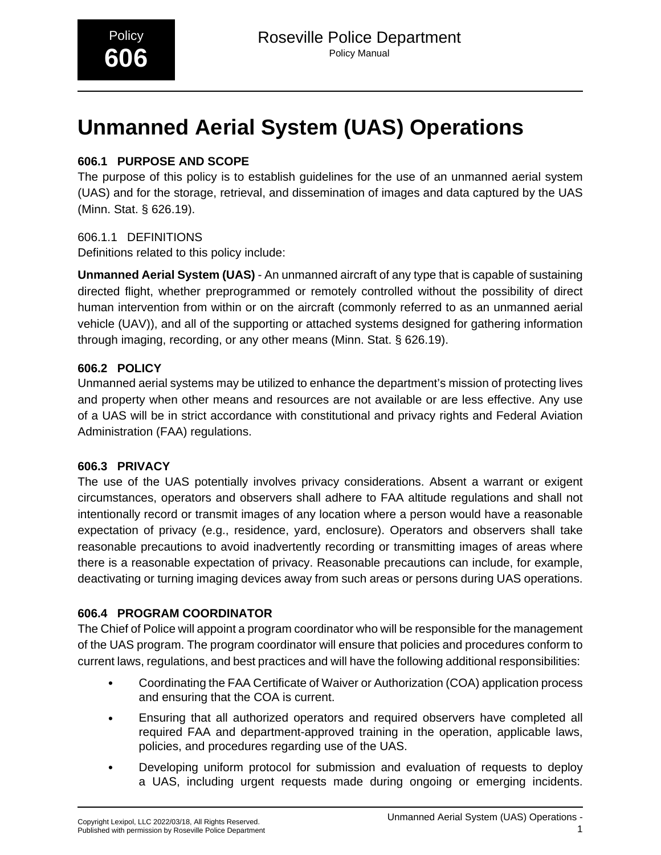# **Unmanned Aerial System (UAS) Operations**

### **606.1 PURPOSE AND SCOPE**

The purpose of this policy is to establish guidelines for the use of an unmanned aerial system (UAS) and for the storage, retrieval, and dissemination of images and data captured by the UAS (Minn. Stat. § 626.19).

### 606.1.1 DEFINITIONS

Definitions related to this policy include:

**Unmanned Aerial System (UAS)** - An unmanned aircraft of any type that is capable of sustaining directed flight, whether preprogrammed or remotely controlled without the possibility of direct human intervention from within or on the aircraft (commonly referred to as an unmanned aerial vehicle (UAV)), and all of the supporting or attached systems designed for gathering information through imaging, recording, or any other means (Minn. Stat. § 626.19).

### **606.2 POLICY**

Unmanned aerial systems may be utilized to enhance the department's mission of protecting lives and property when other means and resources are not available or are less effective. Any use of a UAS will be in strict accordance with constitutional and privacy rights and Federal Aviation Administration (FAA) regulations.

### **606.3 PRIVACY**

The use of the UAS potentially involves privacy considerations. Absent a warrant or exigent circumstances, operators and observers shall adhere to FAA altitude regulations and shall not intentionally record or transmit images of any location where a person would have a reasonable expectation of privacy (e.g., residence, yard, enclosure). Operators and observers shall take reasonable precautions to avoid inadvertently recording or transmitting images of areas where there is a reasonable expectation of privacy. Reasonable precautions can include, for example, deactivating or turning imaging devices away from such areas or persons during UAS operations.

### **606.4 PROGRAM COORDINATOR**

The Chief of Police will appoint a program coordinator who will be responsible for the management of the UAS program. The program coordinator will ensure that policies and procedures conform to current laws, regulations, and best practices and will have the following additional responsibilities:

- Coordinating the FAA Certificate of Waiver or Authorization (COA) application process and ensuring that the COA is current.
- Ensuring that all authorized operators and required observers have completed all required FAA and department-approved training in the operation, applicable laws, policies, and procedures regarding use of the UAS.
- Developing uniform protocol for submission and evaluation of requests to deploy a UAS, including urgent requests made during ongoing or emerging incidents.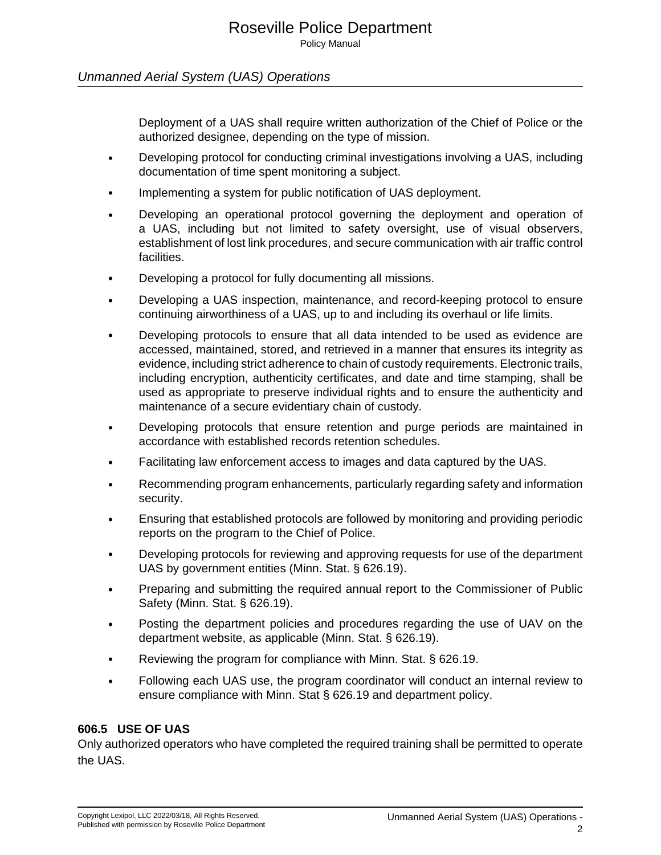Policy Manual

### Unmanned Aerial System (UAS) Operations

Deployment of a UAS shall require written authorization of the Chief of Police or the authorized designee, depending on the type of mission.

- Developing protocol for conducting criminal investigations involving a UAS, including documentation of time spent monitoring a subject.
- Implementing a system for public notification of UAS deployment.
- Developing an operational protocol governing the deployment and operation of a UAS, including but not limited to safety oversight, use of visual observers, establishment of lost link procedures, and secure communication with air traffic control facilities.
- Developing a protocol for fully documenting all missions.
- Developing a UAS inspection, maintenance, and record-keeping protocol to ensure continuing airworthiness of a UAS, up to and including its overhaul or life limits.
- Developing protocols to ensure that all data intended to be used as evidence are accessed, maintained, stored, and retrieved in a manner that ensures its integrity as evidence, including strict adherence to chain of custody requirements. Electronic trails, including encryption, authenticity certificates, and date and time stamping, shall be used as appropriate to preserve individual rights and to ensure the authenticity and maintenance of a secure evidentiary chain of custody.
- Developing protocols that ensure retention and purge periods are maintained in accordance with established records retention schedules.
- Facilitating law enforcement access to images and data captured by the UAS.
- Recommending program enhancements, particularly regarding safety and information security.
- Ensuring that established protocols are followed by monitoring and providing periodic reports on the program to the Chief of Police.
- Developing protocols for reviewing and approving requests for use of the department UAS by government entities (Minn. Stat. § 626.19).
- Preparing and submitting the required annual report to the Commissioner of Public Safety (Minn. Stat. § 626.19).
- Posting the department policies and procedures regarding the use of UAV on the department website, as applicable (Minn. Stat. § 626.19).
- Reviewing the program for compliance with Minn. Stat. § 626.19.
- Following each UAS use, the program coordinator will conduct an internal review to ensure compliance with Minn. Stat § 626.19 and department policy.

### **606.5 USE OF UAS**

Only authorized operators who have completed the required training shall be permitted to operate the UAS.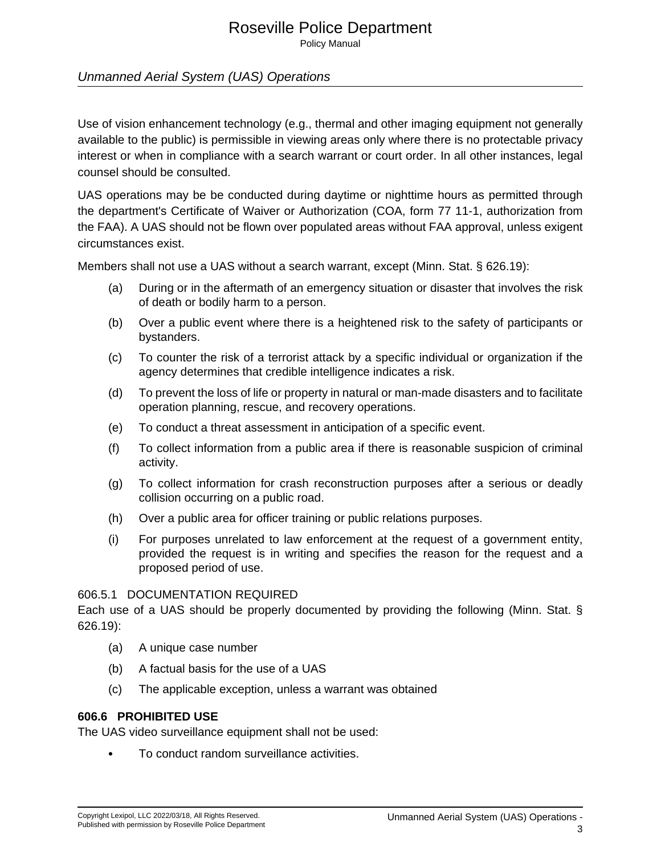### Roseville Police Department

Policy Manual

### Unmanned Aerial System (UAS) Operations

Use of vision enhancement technology (e.g., thermal and other imaging equipment not generally available to the public) is permissible in viewing areas only where there is no protectable privacy interest or when in compliance with a search warrant or court order. In all other instances, legal counsel should be consulted.

UAS operations may be be conducted during daytime or nighttime hours as permitted through the department's Certificate of Waiver or Authorization (COA, form 77 11-1, authorization from the FAA). A UAS should not be flown over populated areas without FAA approval, unless exigent circumstances exist.

Members shall not use a UAS without a search warrant, except (Minn. Stat. § 626.19):

- (a) During or in the aftermath of an emergency situation or disaster that involves the risk of death or bodily harm to a person.
- (b) Over a public event where there is a heightened risk to the safety of participants or bystanders.
- (c) To counter the risk of a terrorist attack by a specific individual or organization if the agency determines that credible intelligence indicates a risk.
- (d) To prevent the loss of life or property in natural or man-made disasters and to facilitate operation planning, rescue, and recovery operations.
- (e) To conduct a threat assessment in anticipation of a specific event.
- (f) To collect information from a public area if there is reasonable suspicion of criminal activity.
- (g) To collect information for crash reconstruction purposes after a serious or deadly collision occurring on a public road.
- (h) Over a public area for officer training or public relations purposes.
- (i) For purposes unrelated to law enforcement at the request of a government entity, provided the request is in writing and specifies the reason for the request and a proposed period of use.\_

#### 606.5.1 DOCUMENTATION REQUIRED

Each use of a UAS should be properly documented by providing the following (Minn. Stat. § 626.19):

- (a) A unique case number
- (b) A factual basis for the use of a UAS
- (c) The applicable exception, unless a warrant was obtained

### **606.6 PROHIBITED USE**

The UAS video surveillance equipment shall not be used:

• To conduct random surveillance activities.